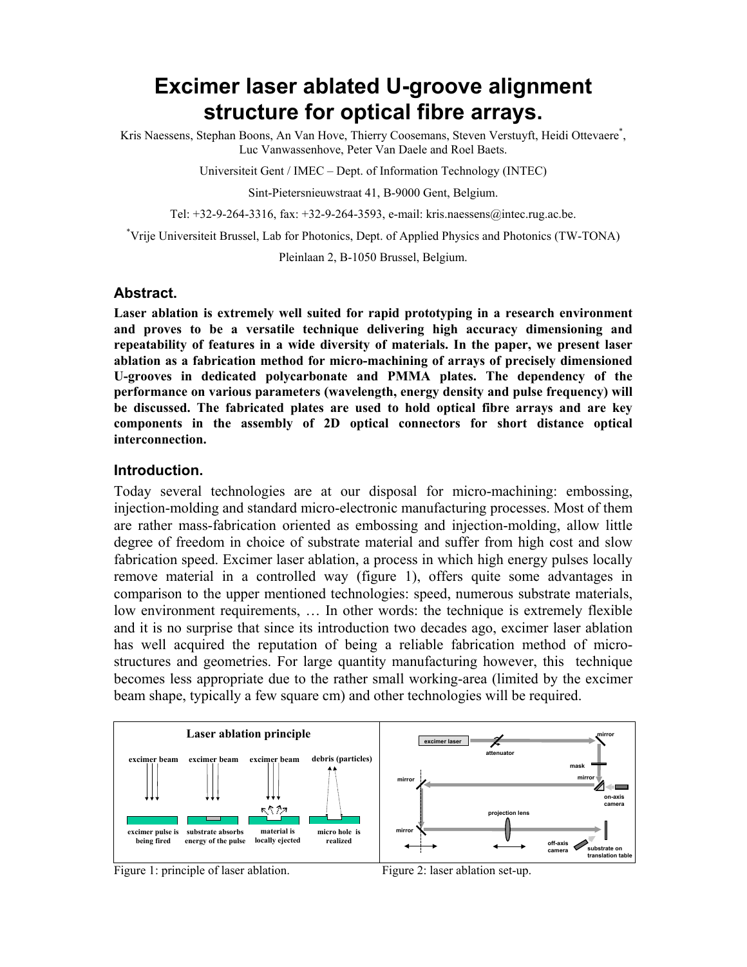# **Excimer laser ablated U-groove alignment structure for optical fibre arrays.**

Kris Naessens, Stephan Boons, An Van Hove, Thierry Coosemans, Steven Verstuyft, Heidi Ottevaere<sup>\*</sup>, Luc Vanwassenhove, Peter Van Daele and Roel Baets.

Universiteit Gent / IMEC – Dept. of Information Technology (INTEC)

Sint-Pietersnieuwstraat 41, B-9000 Gent, Belgium.

Tel: +32-9-264-3316, fax: +32-9-264-3593, e-mail: kris.naessens@intec.rug.ac.be.

\* Vrije Universiteit Brussel, Lab for Photonics, Dept. of Applied Physics and Photonics (TW-TONA)

Pleinlaan 2, B-1050 Brussel, Belgium.

#### **Abstract.**

**Laser ablation is extremely well suited for rapid prototyping in a research environment and proves to be a versatile technique delivering high accuracy dimensioning and repeatability of features in a wide diversity of materials. In the paper, we present laser ablation as a fabrication method for micro-machining of arrays of precisely dimensioned U-grooves in dedicated polycarbonate and PMMA plates. The dependency of the performance on various parameters (wavelength, energy density and pulse frequency) will be discussed. The fabricated plates are used to hold optical fibre arrays and are key components in the assembly of 2D optical connectors for short distance optical interconnection.**

#### **Introduction.**

Today several technologies are at our disposal for micro-machining: embossing, injection-molding and standard micro-electronic manufacturing processes. Most of them are rather mass-fabrication oriented as embossing and injection-molding, allow little degree of freedom in choice of substrate material and suffer from high cost and slow fabrication speed. Excimer laser ablation, a process in which high energy pulses locally remove material in a controlled way (figure 1), offers quite some advantages in comparison to the upper mentioned technologies: speed, numerous substrate materials, low environment requirements, … In other words: the technique is extremely flexible and it is no surprise that since its introduction two decades ago, excimer laser ablation has well acquired the reputation of being a reliable fabrication method of microstructures and geometries. For large quantity manufacturing however, this technique becomes less appropriate due to the rather small working-area (limited by the excimer beam shape, typically a few square cm) and other technologies will be required.



Figure 1: principle of laser ablation. Figure 2: laser ablation set-up.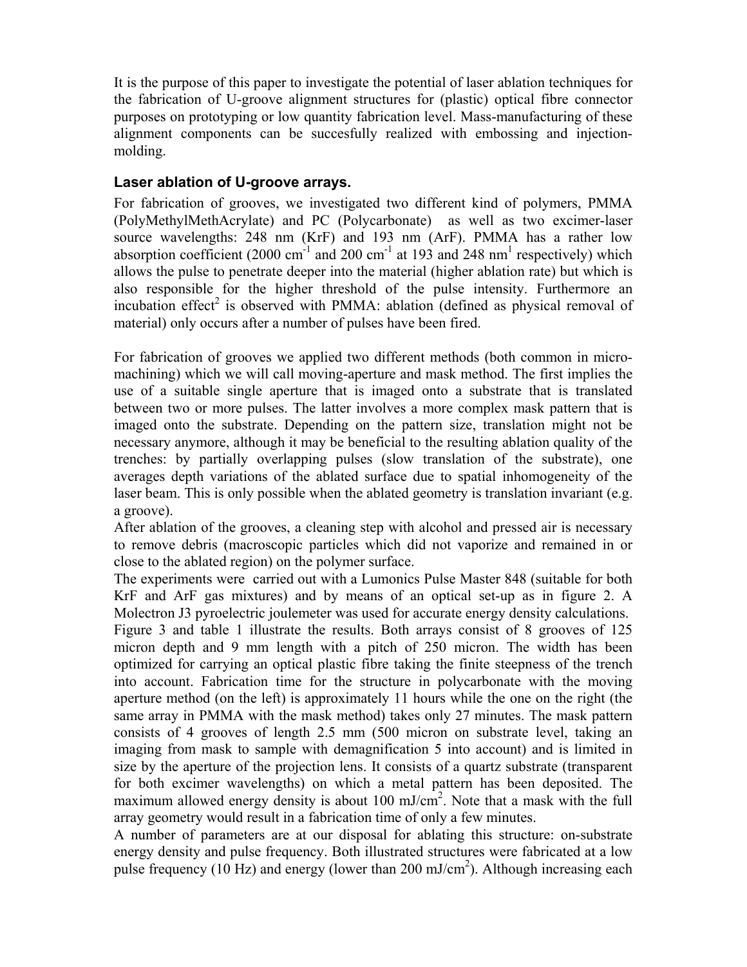It is the purpose of this paper to investigate the potential of laser ablation techniques for the fabrication of U-groove alignment structures for (plastic) optical fibre connector purposes on prototyping or low quantity fabrication level. Mass-manufacturing of these alignment components can be succesfully realized with embossing and injectionmolding.

### **Laser ablation of U-groove arrays.**

For fabrication of grooves, we investigated two different kind of polymers, PMMA (PolyMethylMethAcrylate) and PC (Polycarbonate) as well as two excimer-laser source wavelengths: 248 nm (KrF) and 193 nm (ArF). PMMA has a rather low absorption coefficient (2000 cm<sup>-1</sup> and 200 cm<sup>-1</sup> at 193 and 248 nm<sup>1</sup> respectively) which allows the pulse to penetrate deeper into the material (higher ablation rate) but which is also responsible for the higher threshold of the pulse intensity. Furthermore an incubation effect<sup>2</sup> is observed with PMMA: ablation (defined as physical removal of material) only occurs after a number of pulses have been fired.

For fabrication of grooves we applied two different methods (both common in micromachining) which we will call moving-aperture and mask method. The first implies the use of a suitable single aperture that is imaged onto a substrate that is translated between two or more pulses. The latter involves a more complex mask pattern that is imaged onto the substrate. Depending on the pattern size, translation might not be necessary anymore, although it may be beneficial to the resulting ablation quality of the trenches: by partially overlapping pulses (slow translation of the substrate), one averages depth variations of the ablated surface due to spatial inhomogeneity of the laser beam. This is only possible when the ablated geometry is translation invariant (e.g. a groove).

After ablation of the grooves, a cleaning step with alcohol and pressed air is necessary to remove debris (macroscopic particles which did not vaporize and remained in or close to the ablated region) on the polymer surface.

The experiments were carried out with a Lumonics Pulse Master 848 (suitable for both KrF and ArF gas mixtures) and by means of an optical set-up as in figure 2. A Molectron J3 pyroelectric joulemeter was used for accurate energy density calculations.

Figure 3 and table 1 illustrate the results. Both arrays consist of 8 grooves of 125 micron depth and 9 mm length with a pitch of 250 micron. The width has been optimized for carrying an optical plastic fibre taking the finite steepness of the trench into account. Fabrication time for the structure in polycarbonate with the moving aperture method (on the left) is approximately 11 hours while the one on the right (the same array in PMMA with the mask method) takes only 27 minutes. The mask pattern consists of 4 grooves of length 2.5 mm (500 micron on substrate level, taking an imaging from mask to sample with demagnification 5 into account) and is limited in size by the aperture of the projection lens. It consists of a quartz substrate (transparent for both excimer wavelengths) on which a metal pattern has been deposited. The maximum allowed energy density is about 100 mJ/cm<sup>2</sup>. Note that a mask with the full array geometry would result in a fabrication time of only a few minutes.

A number of parameters are at our disposal for ablating this structure: on-substrate energy density and pulse frequency. Both illustrated structures were fabricated at a low pulse frequency (10 Hz) and energy (lower than 200 mJ/cm<sup>2</sup>). Although increasing each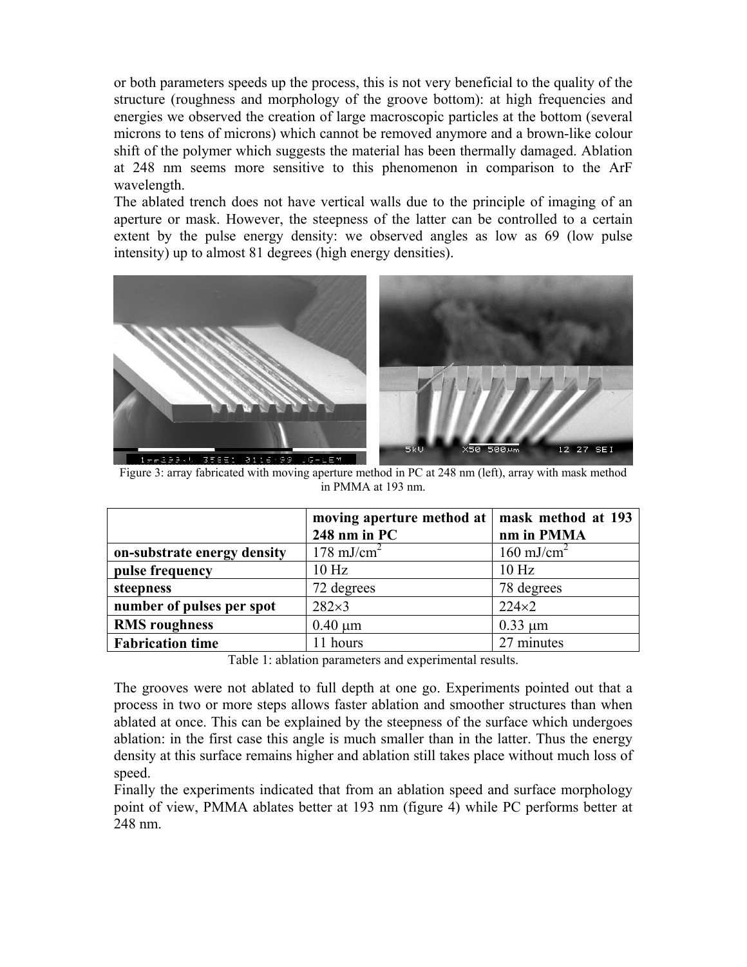or both parameters speeds up the process, this is not very beneficial to the quality of the structure (roughness and morphology of the groove bottom): at high frequencies and energies we observed the creation of large macroscopic particles at the bottom (several microns to tens of microns) which cannot be removed anymore and a brown-like colour shift of the polymer which suggests the material has been thermally damaged. Ablation at 248 nm seems more sensitive to this phenomenon in comparison to the ArF wavelength.

The ablated trench does not have vertical walls due to the principle of imaging of an aperture or mask. However, the steepness of the latter can be controlled to a certain extent by the pulse energy density: we observed angles as low as 69 (low pulse intensity) up to almost 81 degrees (high energy densities).



Figure 3: array fabricated with moving aperture method in PC at 248 nm (left), array with mask method in PMMA at 193 nm.

|                             | moving aperture method at   mask method at 193 |                       |
|-----------------------------|------------------------------------------------|-----------------------|
|                             | 248 nm in PC                                   | nm in PMMA            |
| on-substrate energy density | $178 \text{ mJ/cm}^2$                          | $160 \text{ mJ/cm}^2$ |
| pulse frequency             | 10 <sub>Hz</sub>                               | 10 <sub>Hz</sub>      |
| steepness                   | 72 degrees                                     | 78 degrees            |
| number of pulses per spot   | $282\times3$                                   | $224\times2$          |
| <b>RMS</b> roughness        | $0.40 \mu m$                                   | $0.33 \mu m$          |
| <b>Fabrication time</b>     | 11 hours                                       | 27 minutes            |

Table 1: ablation parameters and experimental results.

The grooves were not ablated to full depth at one go. Experiments pointed out that a process in two or more steps allows faster ablation and smoother structures than when ablated at once. This can be explained by the steepness of the surface which undergoes ablation: in the first case this angle is much smaller than in the latter. Thus the energy density at this surface remains higher and ablation still takes place without much loss of speed.

Finally the experiments indicated that from an ablation speed and surface morphology point of view, PMMA ablates better at 193 nm (figure 4) while PC performs better at 248 nm.